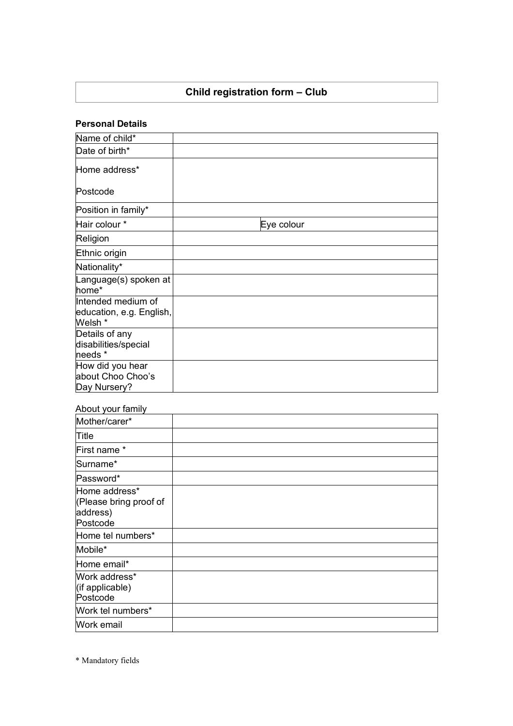### **Child registration form – Club**

#### **Personal Details**

| Name of child*                                            |            |
|-----------------------------------------------------------|------------|
| Date of birth*                                            |            |
| Home address*                                             |            |
| Postcode                                                  |            |
| Position in family*                                       |            |
| Hair colour *                                             | Eye colour |
| Religion                                                  |            |
| Ethnic origin                                             |            |
| Nationality*                                              |            |
| Language(s) spoken at<br>home*                            |            |
| Intended medium of<br>education, e.g. English,<br>Welsh * |            |
| Details of any<br>disabilities/special<br>needs *         |            |
| How did you hear<br>about Choo Choo's<br>Day Nursery?     |            |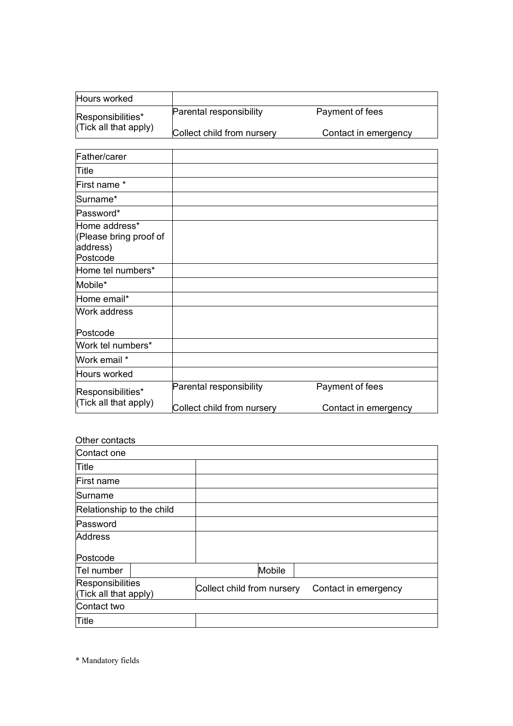| Hours worked          |                                |                      |
|-----------------------|--------------------------------|----------------------|
| Responsibilities*     | <b>Parental responsibility</b> | Payment of fees      |
| (Tick all that apply) | Collect child from nursery     | Contact in emergency |

| Father/carer                                                    |                            |                      |
|-----------------------------------------------------------------|----------------------------|----------------------|
| Title                                                           |                            |                      |
| First name *                                                    |                            |                      |
| Surname*                                                        |                            |                      |
| Password*                                                       |                            |                      |
| Home address*<br>(Please bring proof of<br>address)<br>Postcode |                            |                      |
| Home tel numbers*                                               |                            |                      |
| Mobile*                                                         |                            |                      |
| Home email*                                                     |                            |                      |
| Work address                                                    |                            |                      |
| Postcode                                                        |                            |                      |
| Work tel numbers*                                               |                            |                      |
| Work email *                                                    |                            |                      |
| Hours worked                                                    |                            |                      |
| Responsibilities*<br>(Tick all that apply)                      | Parental responsibility    | Payment of fees      |
|                                                                 | Collect child from nursery | Contact in emergency |

#### Other contacts

| Contact one                               |                            |                      |
|-------------------------------------------|----------------------------|----------------------|
| Title                                     |                            |                      |
| First name                                |                            |                      |
| Surname                                   |                            |                      |
| Relationship to the child                 |                            |                      |
| Password                                  |                            |                      |
| <b>Address</b>                            |                            |                      |
| Postcode                                  |                            |                      |
| Tel number                                | Mobile                     |                      |
| Responsibilities<br>(Tick all that apply) | Collect child from nursery | Contact in emergency |
| Contact two                               |                            |                      |
| Title                                     |                            |                      |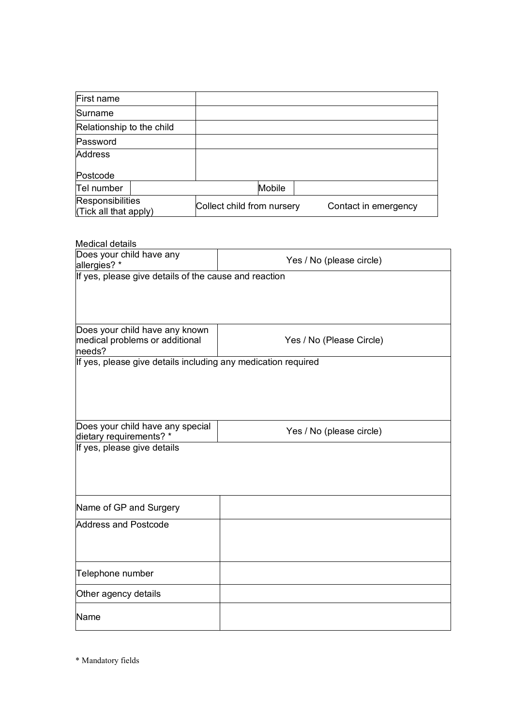| First name                                       |                            |        |                      |
|--------------------------------------------------|----------------------------|--------|----------------------|
| Surname                                          |                            |        |                      |
| Relationship to the child                        |                            |        |                      |
| Password                                         |                            |        |                      |
| <b>Address</b>                                   |                            |        |                      |
| Postcode                                         |                            |        |                      |
| Tel number                                       |                            | Mobile |                      |
| <b>Responsibilities</b><br>(Tick all that apply) | Collect child from nursery |        | Contact in emergency |

#### Medical details

| Does your child have any<br>allergies? *                                | Yes / No (please circle) |  |
|-------------------------------------------------------------------------|--------------------------|--|
| If yes, please give details of the cause and reaction                   |                          |  |
|                                                                         |                          |  |
|                                                                         |                          |  |
| Does your child have any known                                          |                          |  |
| medical problems or additional                                          | Yes / No (Please Circle) |  |
| needs?<br>If yes, please give details including any medication required |                          |  |
|                                                                         |                          |  |
|                                                                         |                          |  |
|                                                                         |                          |  |
|                                                                         |                          |  |
| Does your child have any special<br>dietary requirements? *             | Yes / No (please circle) |  |
| If yes, please give details                                             |                          |  |
|                                                                         |                          |  |
|                                                                         |                          |  |
|                                                                         |                          |  |
| Name of GP and Surgery                                                  |                          |  |
| <b>Address and Postcode</b>                                             |                          |  |
|                                                                         |                          |  |
|                                                                         |                          |  |
| Telephone number                                                        |                          |  |
| Other agency details                                                    |                          |  |
| Name                                                                    |                          |  |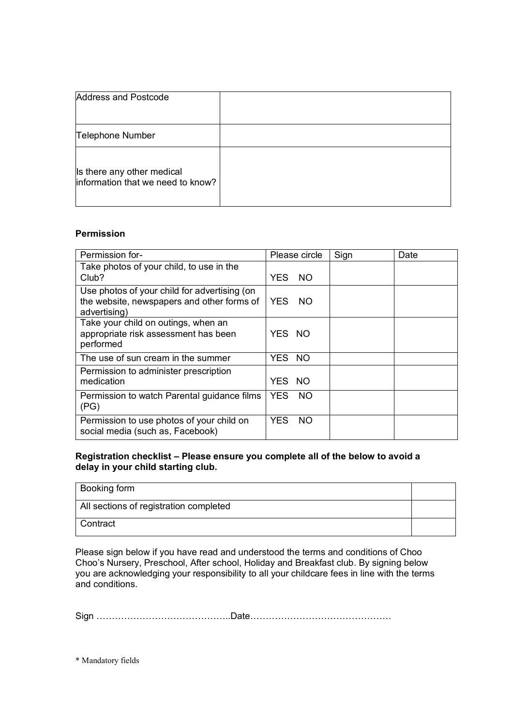| <b>Address and Postcode</b>                                     |  |
|-----------------------------------------------------------------|--|
| Telephone Number                                                |  |
| Is there any other medical<br>information that we need to know? |  |

#### **Permission**

| Permission for-                                                                                            | Please circle     | Sign | Date |
|------------------------------------------------------------------------------------------------------------|-------------------|------|------|
| Take photos of your child, to use in the<br>Club?                                                          | YES.<br>NO.       |      |      |
| Use photos of your child for advertising (on<br>the website, newspapers and other forms of<br>advertising) | YES.<br>- NO      |      |      |
| Take your child on outings, when an<br>appropriate risk assessment has been<br>performed                   | YES NO            |      |      |
| The use of sun cream in the summer                                                                         | YES NO            |      |      |
| Permission to administer prescription<br>medication                                                        | YES NO            |      |      |
| Permission to watch Parental guidance films<br>(PG)                                                        | YES.<br>NO.       |      |      |
| Permission to use photos of your child on<br>social media (such as, Facebook)                              | YES.<br><b>NO</b> |      |      |

#### **Registration checklist – Please ensure you complete all of the below to avoid a delay in your child starting club.**

| Booking form                           |  |
|----------------------------------------|--|
| All sections of registration completed |  |
| Contract                               |  |

Please sign below if you have read and understood the terms and conditions of Choo Choo's Nursery, Preschool, After school, Holiday and Breakfast club. By signing below you are acknowledging your responsibility to all your childcare fees in line with the terms and conditions.

Sign ……………………………………..Date……………………………………….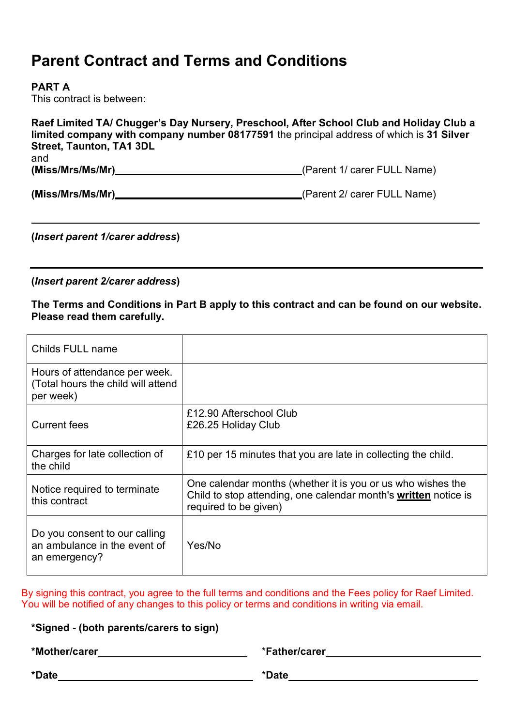## **Parent Contract and Terms and Conditions**

#### **PART A**

This contract is between:

| Raef Limited TA/ Chugger's Day Nursery, Preschool, After School Club and Holiday Club a<br>limited company with company number 08177591 the principal address of which is 31 Silver<br><b>Street, Taunton, TA1 3DL</b> |                             |  |  |
|------------------------------------------------------------------------------------------------------------------------------------------------------------------------------------------------------------------------|-----------------------------|--|--|
| and<br>(Miss/Mrs/Ms/Mr)                                                                                                                                                                                                | (Parent 1/ carer FULL Name) |  |  |
| (Miss/Mrs/Ms/Mr)_                                                                                                                                                                                                      | (Parent 2/ carer FULL Name) |  |  |

**(***Insert parent 1/carer address***)**

**(***Insert parent 2/carer address***)**

**The Terms and Conditions in Part B apply to this contract and can be found on our website. Please read them carefully.**

| Childs FULL name                                                                 |                                                                                                                                                         |
|----------------------------------------------------------------------------------|---------------------------------------------------------------------------------------------------------------------------------------------------------|
| Hours of attendance per week.<br>(Total hours the child will attend<br>per week) |                                                                                                                                                         |
| <b>Current fees</b>                                                              | £12.90 Afterschool Club<br>£26.25 Holiday Club                                                                                                          |
| Charges for late collection of<br>the child                                      | £10 per 15 minutes that you are late in collecting the child.                                                                                           |
| Notice required to terminate<br>this contract                                    | One calendar months (whether it is you or us who wishes the<br>Child to stop attending, one calendar month's written notice is<br>required to be given) |
| Do you consent to our calling<br>an ambulance in the event of<br>an emergency?   | Yes/No                                                                                                                                                  |

By signing this contract, you agree to the full terms and conditions and the Fees policy for Raef Limited. You will be notified of any changes to this policy or terms and conditions in writing via email.

**\*Signed - (both parents/carers to sign)**

**\*Mother/carer** \***Father/carer**

**\*Date** \***Date**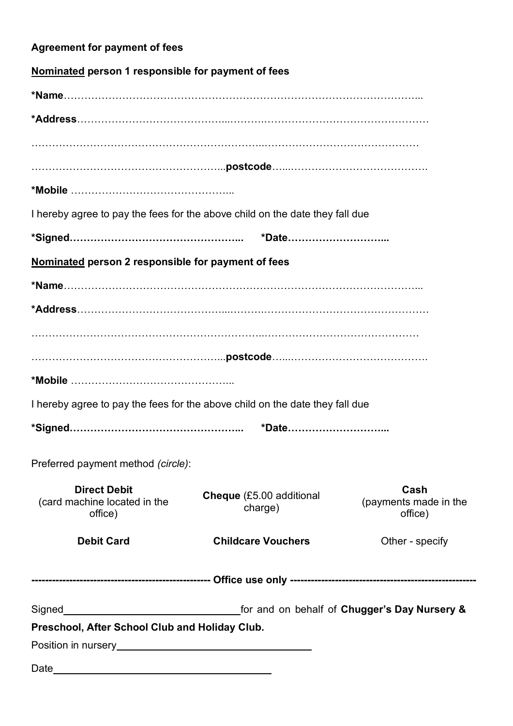| <b>Agreement for payment of fees</b>                                                                                                                                                                                                                                                 |                                            |                                          |  |
|--------------------------------------------------------------------------------------------------------------------------------------------------------------------------------------------------------------------------------------------------------------------------------------|--------------------------------------------|------------------------------------------|--|
| Nominated person 1 responsible for payment of fees                                                                                                                                                                                                                                   |                                            |                                          |  |
|                                                                                                                                                                                                                                                                                      |                                            |                                          |  |
|                                                                                                                                                                                                                                                                                      |                                            |                                          |  |
|                                                                                                                                                                                                                                                                                      |                                            |                                          |  |
|                                                                                                                                                                                                                                                                                      |                                            |                                          |  |
|                                                                                                                                                                                                                                                                                      |                                            |                                          |  |
| I hereby agree to pay the fees for the above child on the date they fall due                                                                                                                                                                                                         |                                            |                                          |  |
|                                                                                                                                                                                                                                                                                      | *Date                                      |                                          |  |
| Nominated person 2 responsible for payment of fees                                                                                                                                                                                                                                   |                                            |                                          |  |
|                                                                                                                                                                                                                                                                                      |                                            |                                          |  |
|                                                                                                                                                                                                                                                                                      |                                            |                                          |  |
|                                                                                                                                                                                                                                                                                      |                                            |                                          |  |
|                                                                                                                                                                                                                                                                                      |                                            |                                          |  |
|                                                                                                                                                                                                                                                                                      |                                            |                                          |  |
|                                                                                                                                                                                                                                                                                      |                                            |                                          |  |
| I hereby agree to pay the fees for the above child on the date they fall due                                                                                                                                                                                                         |                                            |                                          |  |
|                                                                                                                                                                                                                                                                                      |                                            |                                          |  |
|                                                                                                                                                                                                                                                                                      |                                            |                                          |  |
| Preferred payment method (circle):                                                                                                                                                                                                                                                   |                                            |                                          |  |
| <b>Direct Debit</b><br>(card machine located in the<br>office)                                                                                                                                                                                                                       | <b>Cheque</b> (£5.00 additional<br>charge) | Cash<br>(payments made in the<br>office) |  |
| <b>Debit Card</b>                                                                                                                                                                                                                                                                    | <b>Childcare Vouchers</b>                  | Other - specify                          |  |
|                                                                                                                                                                                                                                                                                      |                                            |                                          |  |
| Signed<br>Signed<br>Signed<br>Signed<br>Signed<br>Signed<br>Signed<br>Signed<br>Signed<br>Signed<br>Signed<br>Signed<br>Signed<br>Signed<br>Signed<br>Signed<br>Signed<br>Signed<br>Signed<br>Signed<br>Signed<br>Signed<br>Signed<br>Signed<br>Signed<br>Signed<br>Signed<br>Signed |                                            |                                          |  |
| Preschool, After School Club and Holiday Club.                                                                                                                                                                                                                                       |                                            |                                          |  |
| Position in nursery example and the property of the state of the state of the state of the state of the state of the state of the state of the state of the state of the state of the state of the state of the state of the s                                                       |                                            |                                          |  |
|                                                                                                                                                                                                                                                                                      |                                            |                                          |  |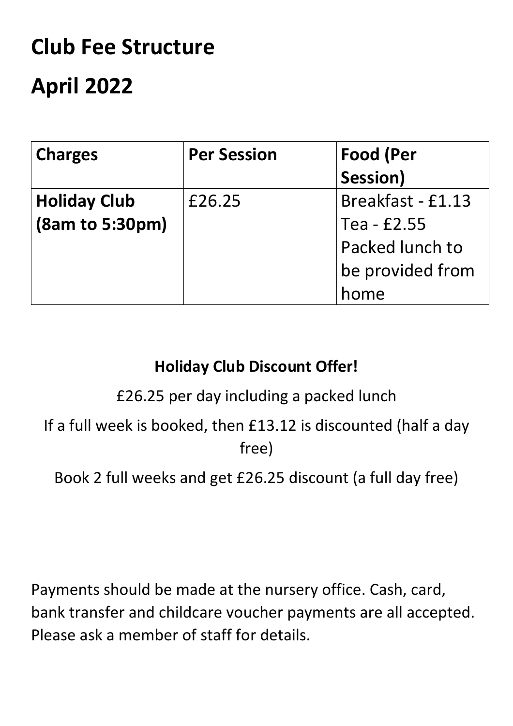# **Club Fee Structure April 2022**

| <b>Charges</b>      | <b>Per Session</b> | <b>Food (Per</b>  |
|---------------------|--------------------|-------------------|
|                     |                    | Session)          |
| <b>Holiday Club</b> | £26.25             | Breakfast - £1.13 |
| (8am to 5:30pm)     |                    | Tea - £2.55       |
|                     |                    | Packed lunch to   |
|                     |                    | be provided from  |
|                     |                    | home              |

## **Holiday Club Discount Offer!**

£26.25 per day including a packed lunch

If a full week is booked, then £13.12 is discounted (half a day free)

Book 2 full weeks and get £26.25 discount (a full day free)

Payments should be made at the nursery office. Cash, card, bank transfer and childcare voucher payments are all accepted. Please ask a member of staff for details.